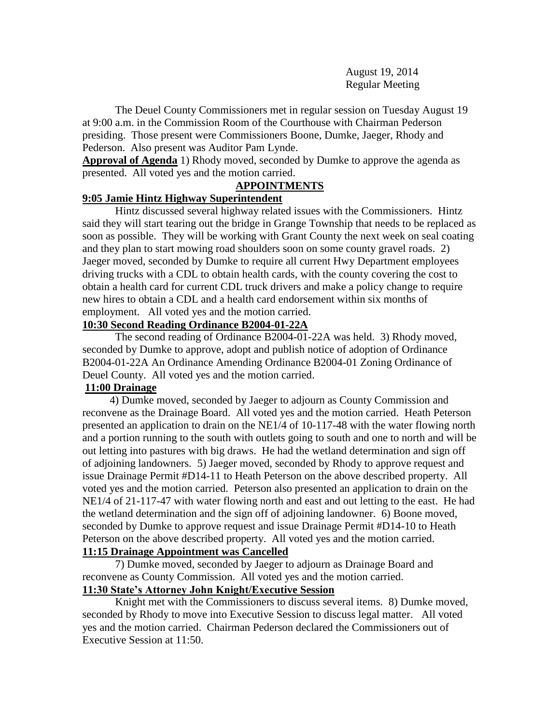August 19, 2014 Regular Meeting

The Deuel County Commissioners met in regular session on Tuesday August 19 at 9:00 a.m. in the Commission Room of the Courthouse with Chairman Pederson presiding. Those present were Commissioners Boone, Dumke, Jaeger, Rhody and Pederson. Also present was Auditor Pam Lynde.

**Approval of Agenda** 1) Rhody moved, seconded by Dumke to approve the agenda as presented. All voted yes and the motion carried.

#### **APPOINTMENTS**

### **9:05 Jamie Hintz Highway Superintendent**

Hintz discussed several highway related issues with the Commissioners. Hintz said they will start tearing out the bridge in Grange Township that needs to be replaced as soon as possible. They will be working with Grant County the next week on seal coating and they plan to start mowing road shoulders soon on some county gravel roads. 2) Jaeger moved, seconded by Dumke to require all current Hwy Department employees driving trucks with a CDL to obtain health cards, with the county covering the cost to obtain a health card for current CDL truck drivers and make a policy change to require new hires to obtain a CDL and a health card endorsement within six months of employment. All voted yes and the motion carried.

#### **10:30 Second Reading Ordinance B2004-01-22A**

The second reading of Ordinance B2004-01-22A was held. 3) Rhody moved, seconded by Dumke to approve, adopt and publish notice of adoption of Ordinance B2004-01-22A An Ordinance Amending Ordinance B2004-01 Zoning Ordinance of Deuel County. All voted yes and the motion carried.

# **11:00 Drainage**

 4) Dumke moved, seconded by Jaeger to adjourn as County Commission and reconvene as the Drainage Board. All voted yes and the motion carried. Heath Peterson presented an application to drain on the NE1/4 of 10-117-48 with the water flowing north and a portion running to the south with outlets going to south and one to north and will be out letting into pastures with big draws. He had the wetland determination and sign off of adjoining landowners. 5) Jaeger moved, seconded by Rhody to approve request and issue Drainage Permit #D14-11 to Heath Peterson on the above described property. All voted yes and the motion carried. Peterson also presented an application to drain on the NE1/4 of 21-117-47 with water flowing north and east and out letting to the east. He had the wetland determination and the sign off of adjoining landowner. 6) Boone moved, seconded by Dumke to approve request and issue Drainage Permit #D14-10 to Heath Peterson on the above described property. All voted yes and the motion carried. **11:15 Drainage Appointment was Cancelled**

7) Dumke moved, seconded by Jaeger to adjourn as Drainage Board and reconvene as County Commission. All voted yes and the motion carried.

# **11:30 State's Attorney John Knight/Executive Session**

Knight met with the Commissioners to discuss several items. 8) Dumke moved, seconded by Rhody to move into Executive Session to discuss legal matter. All voted yes and the motion carried. Chairman Pederson declared the Commissioners out of Executive Session at 11:50.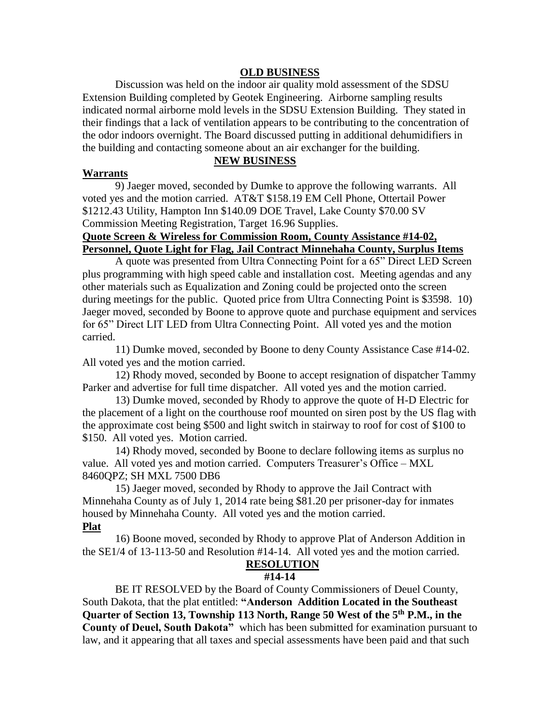# **OLD BUSINESS**

Discussion was held on the indoor air quality mold assessment of the SDSU Extension Building completed by Geotek Engineering. Airborne sampling results indicated normal airborne mold levels in the SDSU Extension Building. They stated in their findings that a lack of ventilation appears to be contributing to the concentration of the odor indoors overnight. The Board discussed putting in additional dehumidifiers in the building and contacting someone about an air exchanger for the building.

# **NEW BUSINESS**

#### **Warrants**

9) Jaeger moved, seconded by Dumke to approve the following warrants. All voted yes and the motion carried. AT&T \$158.19 EM Cell Phone, Ottertail Power \$1212.43 Utility, Hampton Inn \$140.09 DOE Travel, Lake County \$70.00 SV Commission Meeting Registration, Target 16.96 Supplies.

# **Quote Screen & Wireless for Commission Room, County Assistance #14-02, Personnel, Quote Light for Flag, Jail Contract Minnehaha County, Surplus Items**

A quote was presented from Ultra Connecting Point for a 65" Direct LED Screen plus programming with high speed cable and installation cost. Meeting agendas and any other materials such as Equalization and Zoning could be projected onto the screen during meetings for the public. Quoted price from Ultra Connecting Point is \$3598. 10) Jaeger moved, seconded by Boone to approve quote and purchase equipment and services for 65" Direct LIT LED from Ultra Connecting Point. All voted yes and the motion carried.

 11) Dumke moved, seconded by Boone to deny County Assistance Case #14-02. All voted yes and the motion carried.

 12) Rhody moved, seconded by Boone to accept resignation of dispatcher Tammy Parker and advertise for full time dispatcher. All voted yes and the motion carried.

13) Dumke moved, seconded by Rhody to approve the quote of H-D Electric for the placement of a light on the courthouse roof mounted on siren post by the US flag with the approximate cost being \$500 and light switch in stairway to roof for cost of \$100 to \$150. All voted yes. Motion carried.

14) Rhody moved, seconded by Boone to declare following items as surplus no value. All voted yes and motion carried. Computers Treasurer's Office – MXL 8460QPZ; SH MXL 7500 DB6

15) Jaeger moved, seconded by Rhody to approve the Jail Contract with Minnehaha County as of July 1, 2014 rate being \$81.20 per prisoner-day for inmates housed by Minnehaha County. All voted yes and the motion carried. **Plat**

# 16) Boone moved, seconded by Rhody to approve Plat of Anderson Addition in the SE1/4 of 13-113-50 and Resolution #14-14. All voted yes and the motion carried.

### **RESOLUTION**

### **#14-14**

BE IT RESOLVED by the Board of County Commissioners of Deuel County, South Dakota, that the plat entitled: **"Anderson Addition Located in the Southeast Quarter of Section 13, Township 113 North, Range 50 West of the 5th P.M., in the County of Deuel, South Dakota"** which has been submitted for examination pursuant to law, and it appearing that all taxes and special assessments have been paid and that such